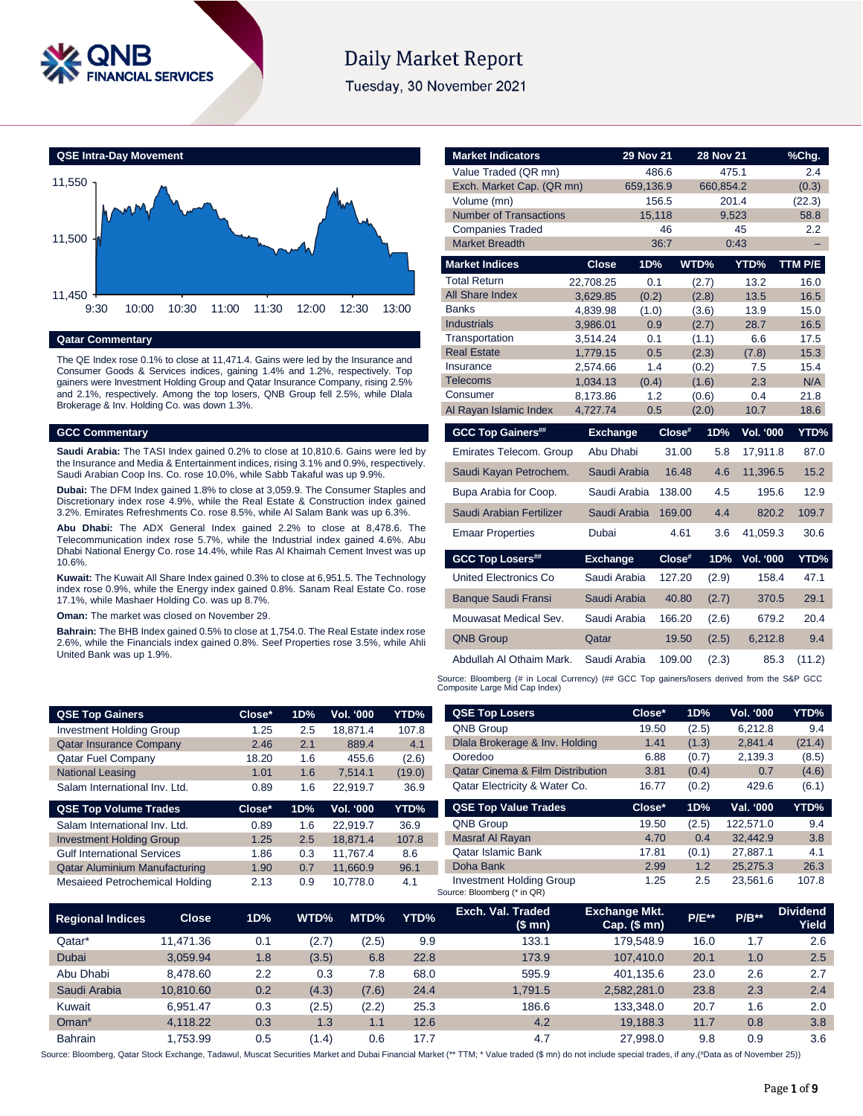

# **Daily Market Report**

Tuesday, 30 November 2021



# **Qatar Commentary**

The QE Index rose 0.1% to close at 11,471.4. Gains were led by the Insurance and Consumer Goods & Services indices, gaining 1.4% and 1.2%, respectively. Top gainers were Investment Holding Group and Qatar Insurance Company, rising 2.5% and 2.1%, respectively. Among the top losers, QNB Group fell 2.5%, while Dlala Brokerage & Inv. Holding Co. was down 1.3%.

#### **GCC Commentary**

**Saudi Arabia:** The TASI Index gained 0.2% to close at 10,810.6. Gains were led by the Insurance and Media & Entertainment indices, rising 3.1% and 0.9%, respectively. Saudi Arabian Coop Ins. Co. rose 10.0%, while Sabb Takaful was up 9.9%.

**Dubai:** The DFM Index gained 1.8% to close at 3,059.9. The Consumer Staples and Discretionary index rose 4.9%, while the Real Estate & Construction index gained 3.2%. Emirates Refreshments Co. rose 8.5%, while Al Salam Bank was up 6.3%.

**Abu Dhabi:** The ADX General Index gained 2.2% to close at 8,478.6. The Telecommunication index rose 5.7%, while the Industrial index gained 4.6%. Abu Dhabi National Energy Co. rose 14.4%, while Ras Al Khaimah Cement Invest was up 10.6%.

**Kuwait:** The Kuwait All Share Index gained 0.3% to close at 6,951.5. The Technology index rose 0.9%, while the Energy index gained 0.8%. Sanam Real Estate Co. rose 17.1%, while Mashaer Holding Co. was up 8.7%.

**Oman:** The market was closed on November 29.

**Bahrain:** The BHB Index gained 0.5% to close at 1,754.0. The Real Estate index rose 2.6%, while the Financials index gained 0.8%. Seef Properties rose 3.5%, while Ahli United Bank was up 1.9%.

| <b>Market Indicators</b>      |                      | <b>29 Nov 21</b> |        | <b>28 Nov 21</b> |                  | %Chg.       |
|-------------------------------|----------------------|------------------|--------|------------------|------------------|-------------|
| Value Traded (QR mn)          |                      |                  | 486.6  | 475.1            |                  | 2.4         |
| Exch. Market Cap. (QR mn)     |                      | 659,136.9        |        | 660,854.2        |                  | (0.3)       |
| Volume (mn)                   |                      |                  | 156.5  | 201.4            |                  | (22.3)      |
| <b>Number of Transactions</b> |                      | 15,118           |        |                  | 9,523            | 58.8        |
| <b>Companies Traded</b>       |                      |                  | 46     |                  | 45               | 2.2         |
| <b>Market Breadth</b>         |                      |                  | 36:7   |                  | 0:43             | -           |
| <b>Market Indices</b>         | <b>Close</b>         | 1D%              |        | WTD%             | YTD%             | TTM P/E     |
| <b>Total Return</b>           | 22,708.25            | 0.1              |        | (2.7)            | 13.2             | 16.0        |
| All Share Index               | 3,629.85             | (0.2)            |        | (2.8)            | 13.5             | 16.5        |
| <b>Banks</b>                  | 4,839.98             | (1.0)            |        | (3.6)            | 13.9             | 15.0        |
| <b>Industrials</b>            | 3,986.01             | 0.9              |        | (2.7)            | 28.7             | 16.5        |
| Transportation                | 3,514.24             | 0.1              |        | (1.1)            | 6.6              | 17.5        |
| <b>Real Estate</b>            | 1,779.15             | 0.5              |        | (2.3)            | (7.8)            | 15.3        |
| Insurance<br><b>Telecoms</b>  | 2,574.66<br>1,034.13 | 1.4<br>(0.4)     |        | (0.2)<br>(1.6)   | 7.5<br>2.3       | 15.4<br>N/A |
| Consumer                      | 8,173.86             | 1.2              |        | (0.6)            | 0.4              | 21.8        |
| Al Rayan Islamic Index        | 4,727.74             | 0.5              |        | (2.0)            | 10.7             | 18.6        |
| <b>GCC Top Gainers##</b>      | <b>Exchange</b>      |                  | Close# | 1D%              | <b>Vol. '000</b> | YTD%        |
|                               |                      |                  |        |                  |                  |             |
| Emirates Telecom. Group       | Abu Dhabi            |                  | 31.00  | 5.8              | 17,911.8         | 87.0        |
| Saudi Kayan Petrochem.        | Saudi Arabia         |                  | 16.48  | 4.6              | 11,396.5         | 15.2        |
| Bupa Arabia for Coop.         |                      | Saudi Arabia     | 138.00 | 4.5              | 195.6            | 12.9        |
| Saudi Arabian Fertilizer      |                      | Saudi Arabia     | 169.00 | 4.4              | 820.2            | 109.7       |
| <b>Emaar Properties</b>       | Dubai                |                  | 4.61   | 3.6              | 41,059.3         | 30.6        |
| <b>GCC Top Losers##</b>       | <b>Exchange</b>      |                  | Close# | 1D%              | <b>Vol. '000</b> | YTD%        |
| <b>United Electronics Co</b>  | Saudi Arabia         |                  | 127.20 | (2.9)            | 158.4            | 47.1        |
| <b>Banque Saudi Fransi</b>    | Saudi Arabia         |                  | 40.80  | (2.7)            | 370.5            | 29.1        |
| Mouwasat Medical Sev.         | Saudi Arabia         |                  | 166.20 | (2.6)            | 679.2            | 20.4        |
| <b>QNB Group</b>              | Qatar                |                  | 19.50  | (2.5)            | 6,212.8          | 9.4         |
| Abdullah Al Othaim Mark.      | Saudi Arabia         |                  | 109.00 | (2.3)            | 85.3             | (11.2)      |

Source: Bloomberg (# in Local Currency) (## GCC Top gainers/losers derived from the S&P GCC Composite Large Mid Cap Index)

**QSE Top Losers Close\* 1D% Vol. '000 YTD%** QNB Group 19.50 (2.5) 6,212.8 9.4

| <b>QSE Top Gainers</b>          | Close* | 1D% | Vol. '000 | YTD%   |
|---------------------------------|--------|-----|-----------|--------|
| <b>Investment Holding Group</b> | 1.25   | 2.5 | 18.871.4  | 107.8  |
| <b>Qatar Insurance Company</b>  | 2.46   | 2.1 | 889.4     | 4.1    |
| <b>Qatar Fuel Company</b>       | 18.20  | 1.6 | 455.6     | (2.6)  |
| <b>National Leasing</b>         | 1.01   | 1.6 | 7.514.1   | (19.0) |
| Salam International Inv. Ltd.   | 0.89   | 1.6 | 22.919.7  | 36.9   |
| <b>QSE Top Volume Trades</b>    | Close* | 1D% | Vol. '000 | YTD%   |
| Salam International Inv. Ltd.   | 0.89   | 1.6 | 22.919.7  | 36.9   |
| <b>Investment Holding Group</b> | 1.25   | 2.5 | 18.871.4  | 107.8  |
|                                 |        |     |           |        |

Qatar Aluminium Manufacturing 1.90 0.7 11,660.9 96.1 Mesaieed Petrochemical Holding 2.13 0.9 10,778.0 4.1

| Dlala Brokerage & Inv. Holding              | 1.41   | (1.3) | 2,841.4   | (21.4) |
|---------------------------------------------|--------|-------|-----------|--------|
| Ooredoo                                     | 6.88   | (0.7) | 2,139.3   | (8.5)  |
| <b>Qatar Cinema &amp; Film Distribution</b> | 3.81   | (0.4) | 0.7       | (4.6)  |
| Qatar Electricity & Water Co.               | 16.77  | (0.2) | 429.6     | (6.1)  |
| <b>QSE Top Value Trades</b>                 | Close* | 1D%   | Val. '000 | YTD%   |
| <b>QNB Group</b>                            |        |       |           |        |
|                                             | 19.50  | (2.5) | 122,571.0 | 9.4    |
| Masraf Al Rayan                             | 4.70   | 0.4   | 32,442.9  | 3.8    |
| <b>Qatar Islamic Bank</b>                   | 17.81  | (0.1) | 27,887.1  | 4.1    |

Investment Holding Group 1.25 2.5 23,561.6 107.8

**Regional Indices Close 1D% WTD% MTD% YTD% Exch. Val. Traded (\$ mn) Exchange Mkt. Cap. (\$ mn) P/E\*\* P/B\*\* Dividend Yield** Qatar\* 11,471.36 0.1 (2.7) (2.5) 9.9 133.1 179,548.9 16.0 1.7 2.6 Dubai 3,059.94 1.8 (3.5) 6.8 22.8 173.9 107,410.0 20.1 1.0 2.5 Abu Dhabi 8,478.60 2.2 0.3 7.8 68.0 595.9 401,135.6 23.0 2.6 2.7 Saudi Arabia 10,810.60 0.2 (4.3) (7.6) 24.4 1,791.5 2,582,281.0 23.8 2.3 2.4 Kuwait 6,951.47 0.3 (2.5) (2.2) 25.3 186.6 133,348.0 20.7 1.6 2.0 Oman# 4,118.22 0.3 1.3 1.1 12.6 4.2 19,188.3 11.7 0.8 3.8 Bahrain 1,753.99 0.5 (1.4) 0.6 17.7 4.7 27,998.0 9.8 0.9 3.6

Source: Bloomberg (\* in QR)

Source: Bloomberg, Qatar Stock Exchange, Tadawul, Muscat Securities Market and Dubai Financial Market (\*\* TTM; \* Value traded (\$ mn) do not include special trades, if any,(#Data as of November 25))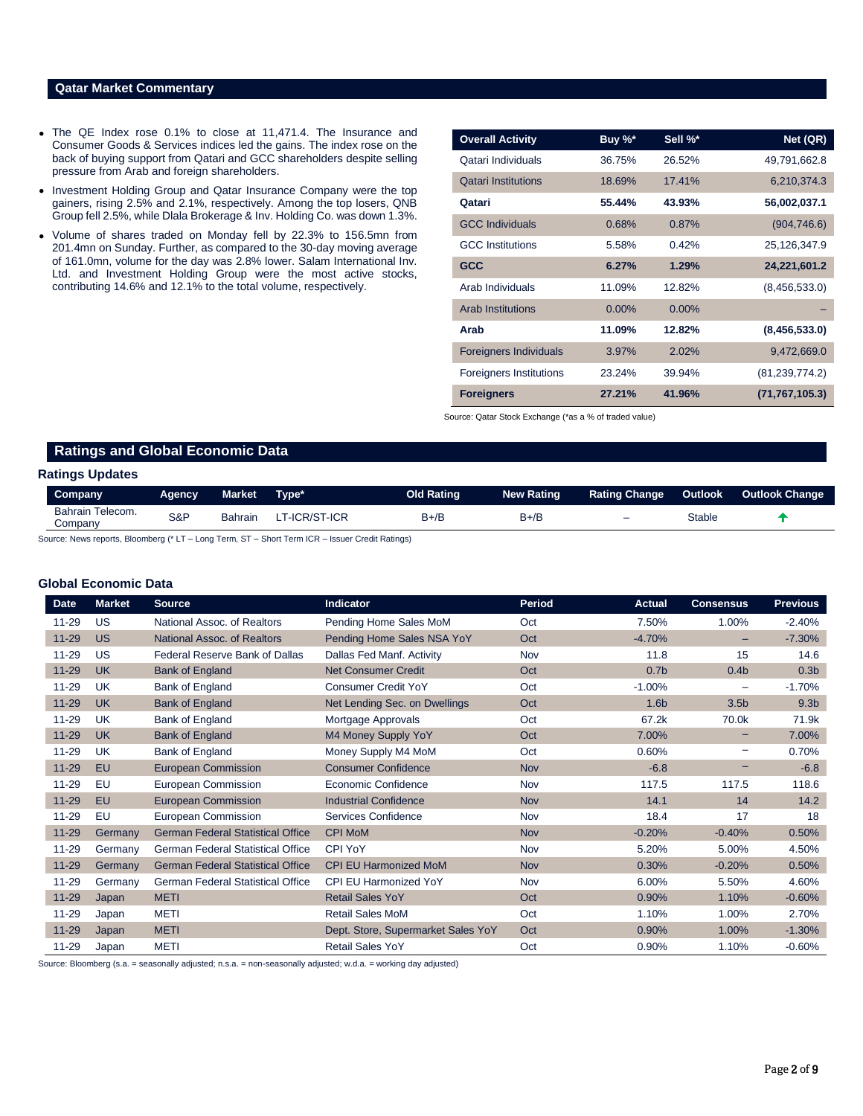## **Qatar Market Commentary**

- The QE Index rose 0.1% to close at 11,471.4. The Insurance and Consumer Goods & Services indices led the gains. The index rose on the back of buying support from Qatari and GCC shareholders despite selling pressure from Arab and foreign shareholders.
- Investment Holding Group and Qatar Insurance Company were the top gainers, rising 2.5% and 2.1%, respectively. Among the top losers, QNB Group fell 2.5%, while Dlala Brokerage & Inv. Holding Co. was down 1.3%.
- Volume of shares traded on Monday fell by 22.3% to 156.5mn from 201.4mn on Sunday. Further, as compared to the 30-day moving average of 161.0mn, volume for the day was 2.8% lower. Salam International Inv. Ltd. and Investment Holding Group were the most active stocks, contributing 14.6% and 12.1% to the total volume, respectively.

| <b>Overall Activity</b>        | Buy %*   | Sell %*  | Net (QR)         |
|--------------------------------|----------|----------|------------------|
| Qatari Individuals             | 36.75%   | 26.52%   | 49,791,662.8     |
| <b>Qatari Institutions</b>     | 18.69%   | 17.41%   | 6,210,374.3      |
| Qatari                         | 55.44%   | 43.93%   | 56,002,037.1     |
| <b>GCC Individuals</b>         | 0.68%    | 0.87%    | (904, 746.6)     |
| <b>GCC</b> Institutions        | 5.58%    | 0.42%    | 25,126,347.9     |
| <b>GCC</b>                     | 6.27%    | 1.29%    | 24,221,601.2     |
| Arab Individuals               | 11.09%   | 12.82%   | (8,456,533.0)    |
| <b>Arab Institutions</b>       | $0.00\%$ | $0.00\%$ |                  |
| Arab                           | 11.09%   | 12.82%   | (8,456,533.0)    |
| <b>Foreigners Individuals</b>  | 3.97%    | 2.02%    | 9,472,669.0      |
| <b>Foreigners Institutions</b> | 23.24%   | 39.94%   | (81, 239, 774.2) |
| <b>Foreigners</b>              | 27.21%   | 41.96%   | (71, 767, 105.3) |

Source: Qatar Stock Exchange (\*as a % of traded value)

# **Ratings and Global Economic Data**

### **Ratings Updates**

| Company.                    | Agency. | Market         | Type*        | Old Rating | New Rating | <b>Rating Change</b>     | Outlook | Outlook Change |
|-----------------------------|---------|----------------|--------------|------------|------------|--------------------------|---------|----------------|
| Bahrain Telecom.<br>Company | S&P     | <b>Bahrain</b> | T-ICR/ST-ICR | $B+/E$     | B+/B       | $\overline{\phantom{0}}$ | Stable  |                |

Source: News reports, Bloomberg (\* LT – Long Term, ST – Short Term ICR – Issuer Credit Ratings)

### **Global Economic Data**

| <b>Date</b> | <b>Market</b> | <b>Source</b>                            | Indicator                          | <b>Period</b> | <b>Actual</b>    | <b>Consensus</b>         | <b>Previous</b>  |
|-------------|---------------|------------------------------------------|------------------------------------|---------------|------------------|--------------------------|------------------|
| 11-29       | US            | National Assoc. of Realtors              | Pending Home Sales MoM             | Oct           | 7.50%            | 1.00%                    | $-2.40%$         |
| $11 - 29$   | <b>US</b>     | National Assoc. of Realtors              | Pending Home Sales NSA YoY         | Oct           | $-4.70%$         | -                        | $-7.30%$         |
| 11-29       | US            | Federal Reserve Bank of Dallas           | Dallas Fed Manf. Activity          | Nov           | 11.8             | 15                       | 14.6             |
| $11 - 29$   | <b>UK</b>     | <b>Bank of England</b>                   | <b>Net Consumer Credit</b>         | Oct           | 0.7 <sub>b</sub> | 0.4 <sub>b</sub>         | 0.3 <sub>b</sub> |
| 11-29       | <b>UK</b>     | Bank of England                          | Consumer Credit YoY                | Oct           | $-1.00\%$        | $\overline{\phantom{0}}$ | $-1.70%$         |
| $11 - 29$   | <b>UK</b>     | <b>Bank of England</b>                   | Net Lending Sec. on Dwellings      | Oct           | 1.6 <sub>b</sub> | 3.5 <sub>b</sub>         | 9.3 <sub>b</sub> |
| 11-29       | <b>UK</b>     | Bank of England                          | Mortgage Approvals                 | Oct           | 67.2k            | 70.0k                    | 71.9k            |
| $11 - 29$   | <b>UK</b>     | <b>Bank of England</b>                   | M4 Money Supply YoY                | Oct           | 7.00%            |                          | 7.00%            |
| 11-29       | <b>UK</b>     | Bank of England                          | Money Supply M4 MoM                | Oct           | 0.60%            | -                        | 0.70%            |
| $11 - 29$   | EU            | <b>European Commission</b>               | <b>Consumer Confidence</b>         | <b>Nov</b>    | $-6.8$           |                          | $-6.8$           |
| 11-29       | EU            | European Commission                      | Economic Confidence                | Nov           | 117.5            | 117.5                    | 118.6            |
| $11 - 29$   | EU            | <b>European Commission</b>               | <b>Industrial Confidence</b>       | <b>Nov</b>    | 14.1             | 14                       | 14.2             |
| 11-29       | EU            | European Commission                      | Services Confidence                | Nov           | 18.4             | 17                       | 18               |
| $11 - 29$   | Germany       | <b>German Federal Statistical Office</b> | <b>CPI MoM</b>                     | <b>Nov</b>    | $-0.20%$         | $-0.40%$                 | 0.50%            |
| 11-29       | Germany       | <b>German Federal Statistical Office</b> | <b>CPI YoY</b>                     | Nov           | 5.20%            | 5.00%                    | 4.50%            |
| $11 - 29$   | Germany       | <b>German Federal Statistical Office</b> | <b>CPI EU Harmonized MoM</b>       | <b>Nov</b>    | 0.30%            | $-0.20%$                 | 0.50%            |
| 11-29       | Germany       | German Federal Statistical Office        | <b>CPI EU Harmonized YoY</b>       | Nov           | 6.00%            | 5.50%                    | 4.60%            |
| $11 - 29$   | Japan         | <b>METI</b>                              | <b>Retail Sales YoY</b>            | Oct           | 0.90%            | 1.10%                    | $-0.60%$         |
| 11-29       | Japan         | <b>METI</b>                              | <b>Retail Sales MoM</b>            | Oct           | 1.10%            | 1.00%                    | 2.70%            |
| $11 - 29$   | Japan         | <b>METI</b>                              | Dept. Store, Supermarket Sales YoY | Oct           | 0.90%            | 1.00%                    | $-1.30%$         |
| 11-29       | Japan         | <b>METI</b>                              | <b>Retail Sales YoY</b>            | Oct           | 0.90%            | 1.10%                    | $-0.60%$         |

Source: Bloomberg (s.a. = seasonally adjusted; n.s.a. = non-seasonally adjusted; w.d.a. = working day adjusted)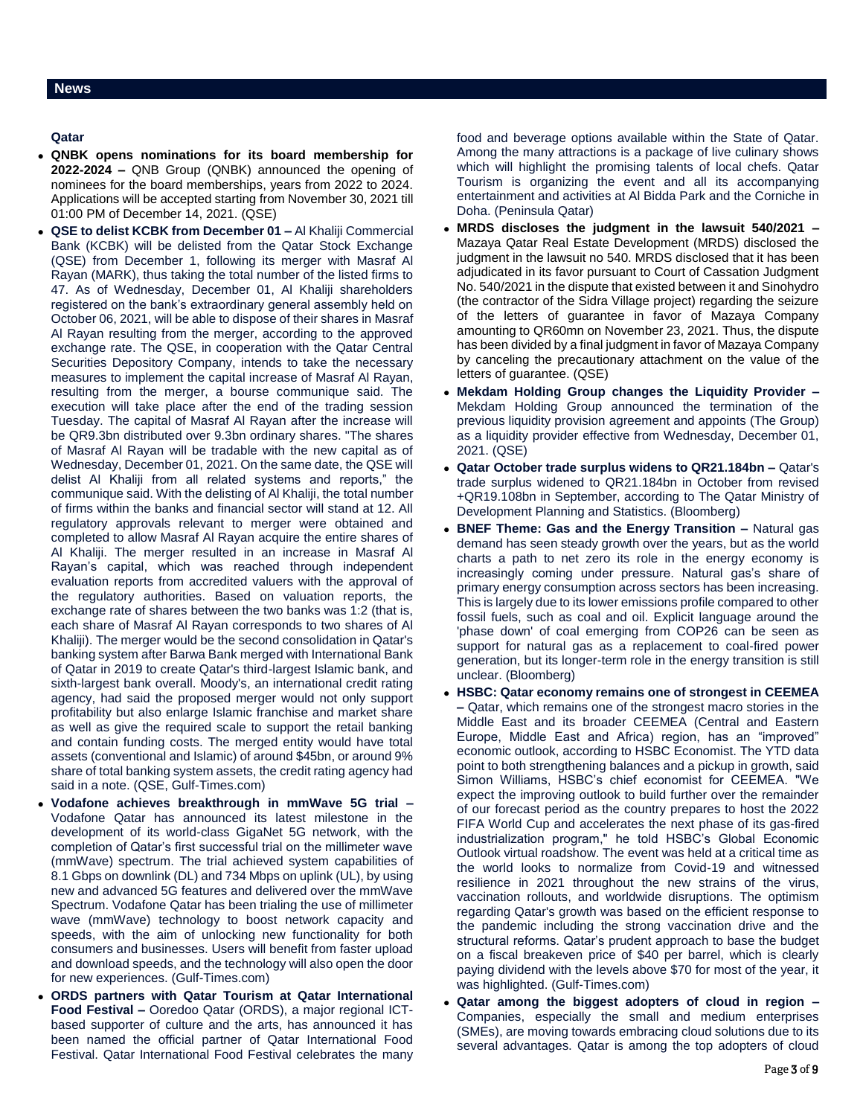- **QNBK opens nominations for its board membership for 2022-2024 –** QNB Group (QNBK) announced the opening of nominees for the board memberships, years from 2022 to 2024. Applications will be accepted starting from November 30, 2021 till 01:00 PM of December 14, 2021. (QSE)
- **QSE to delist KCBK from December 01 –** Al Khaliji Commercial Bank (KCBK) will be delisted from the Qatar Stock Exchange (QSE) from December 1, following its merger with Masraf Al Rayan (MARK), thus taking the total number of the listed firms to 47. As of Wednesday, December 01, Al Khaliji shareholders registered on the bank's extraordinary general assembly held on October 06, 2021, will be able to dispose of their shares in Masraf Al Rayan resulting from the merger, according to the approved exchange rate. The QSE, in cooperation with the Qatar Central Securities Depository Company, intends to take the necessary measures to implement the capital increase of Masraf Al Rayan, resulting from the merger, a bourse communique said. The execution will take place after the end of the trading session Tuesday. The capital of Masraf Al Rayan after the increase will be QR9.3bn distributed over 9.3bn ordinary shares. "The shares of Masraf Al Rayan will be tradable with the new capital as of Wednesday, December 01, 2021. On the same date, the QSE will delist Al Khaliji from all related systems and reports," the communique said. With the delisting of Al Khaliji, the total number of firms within the banks and financial sector will stand at 12. All regulatory approvals relevant to merger were obtained and completed to allow Masraf Al Rayan acquire the entire shares of Al Khaliji. The merger resulted in an increase in Masraf Al Rayan's capital, which was reached through independent evaluation reports from accredited valuers with the approval of the regulatory authorities. Based on valuation reports, the exchange rate of shares between the two banks was 1:2 (that is, each share of Masraf Al Rayan corresponds to two shares of Al Khaliji). The merger would be the second consolidation in Qatar's banking system after Barwa Bank merged with International Bank of Qatar in 2019 to create Qatar's third-largest Islamic bank, and sixth-largest bank overall. Moody's, an international credit rating agency, had said the proposed merger would not only support profitability but also enlarge Islamic franchise and market share as well as give the required scale to support the retail banking and contain funding costs. The merged entity would have total assets (conventional and Islamic) of around \$45bn, or around 9% share of total banking system assets, the credit rating agency had said in a note. (QSE, Gulf-Times.com)
- **Vodafone achieves breakthrough in mmWave 5G trial –** Vodafone Qatar has announced its latest milestone in the development of its world-class GigaNet 5G network, with the completion of Qatar's first successful trial on the millimeter wave (mmWave) spectrum. The trial achieved system capabilities of 8.1 Gbps on downlink (DL) and 734 Mbps on uplink (UL), by using new and advanced 5G features and delivered over the mmWave Spectrum. Vodafone Qatar has been trialing the use of millimeter wave (mmWave) technology to boost network capacity and speeds, with the aim of unlocking new functionality for both consumers and businesses. Users will benefit from faster upload and download speeds, and the technology will also open the door for new experiences. (Gulf-Times.com)
- **ORDS partners with Qatar Tourism at Qatar International Food Festival –** Ooredoo Qatar (ORDS), a major regional ICTbased supporter of culture and the arts, has announced it has been named the official partner of Qatar International Food Festival. Qatar International Food Festival celebrates the many

food and beverage options available within the State of Qatar. Among the many attractions is a package of live culinary shows which will highlight the promising talents of local chefs. Qatar Tourism is organizing the event and all its accompanying entertainment and activities at Al Bidda Park and the Corniche in Doha. (Peninsula Qatar)

- **MRDS discloses the judgment in the lawsuit 540/2021 –** Mazaya Qatar Real Estate Development (MRDS) disclosed the judgment in the lawsuit no 540. MRDS disclosed that it has been adjudicated in its favor pursuant to Court of Cassation Judgment No. 540/2021 in the dispute that existed between it and Sinohydro (the contractor of the Sidra Village project) regarding the seizure of the letters of guarantee in favor of Mazaya Company amounting to QR60mn on November 23, 2021. Thus, the dispute has been divided by a final judgment in favor of Mazaya Company by canceling the precautionary attachment on the value of the letters of guarantee. (QSE)
- **Mekdam Holding Group changes the Liquidity Provider –** Mekdam Holding Group announced the termination of the previous liquidity provision agreement and appoints (The Group) as a liquidity provider effective from Wednesday, December 01, 2021. (QSE)
- **Qatar October trade surplus widens to QR21.184bn –** Qatar's trade surplus widened to QR21.184bn in October from revised +QR19.108bn in September, according to The Qatar Ministry of Development Planning and Statistics. (Bloomberg)
- **BNEF Theme: Gas and the Energy Transition –** Natural gas demand has seen steady growth over the years, but as the world charts a path to net zero its role in the energy economy is increasingly coming under pressure. Natural gas's share of primary energy consumption across sectors has been increasing. This is largely due to its lower emissions profile compared to other fossil fuels, such as coal and oil. Explicit language around the 'phase down' of coal emerging from COP26 can be seen as support for natural gas as a replacement to coal-fired power generation, but its longer-term role in the energy transition is still unclear. (Bloomberg)
- **HSBC: Qatar economy remains one of strongest in CEEMEA –** Qatar, which remains one of the strongest macro stories in the Middle East and its broader CEEMEA (Central and Eastern Europe, Middle East and Africa) region, has an "improved" economic outlook, according to HSBC Economist. The YTD data point to both strengthening balances and a pickup in growth, said Simon Williams, HSBC's chief economist for CEEMEA. "We expect the improving outlook to build further over the remainder of our forecast period as the country prepares to host the 2022 FIFA World Cup and accelerates the next phase of its gas-fired industrialization program," he told HSBC's Global Economic Outlook virtual roadshow. The event was held at a critical time as the world looks to normalize from Covid-19 and witnessed resilience in 2021 throughout the new strains of the virus, vaccination rollouts, and worldwide disruptions. The optimism regarding Qatar's growth was based on the efficient response to the pandemic including the strong vaccination drive and the structural reforms. Qatar's prudent approach to base the budget on a fiscal breakeven price of \$40 per barrel, which is clearly paying dividend with the levels above \$70 for most of the year, it was highlighted. (Gulf-Times.com)
- **Qatar among the biggest adopters of cloud in region –** Companies, especially the small and medium enterprises (SMEs), are moving towards embracing cloud solutions due to its several advantages. Qatar is among the top adopters of cloud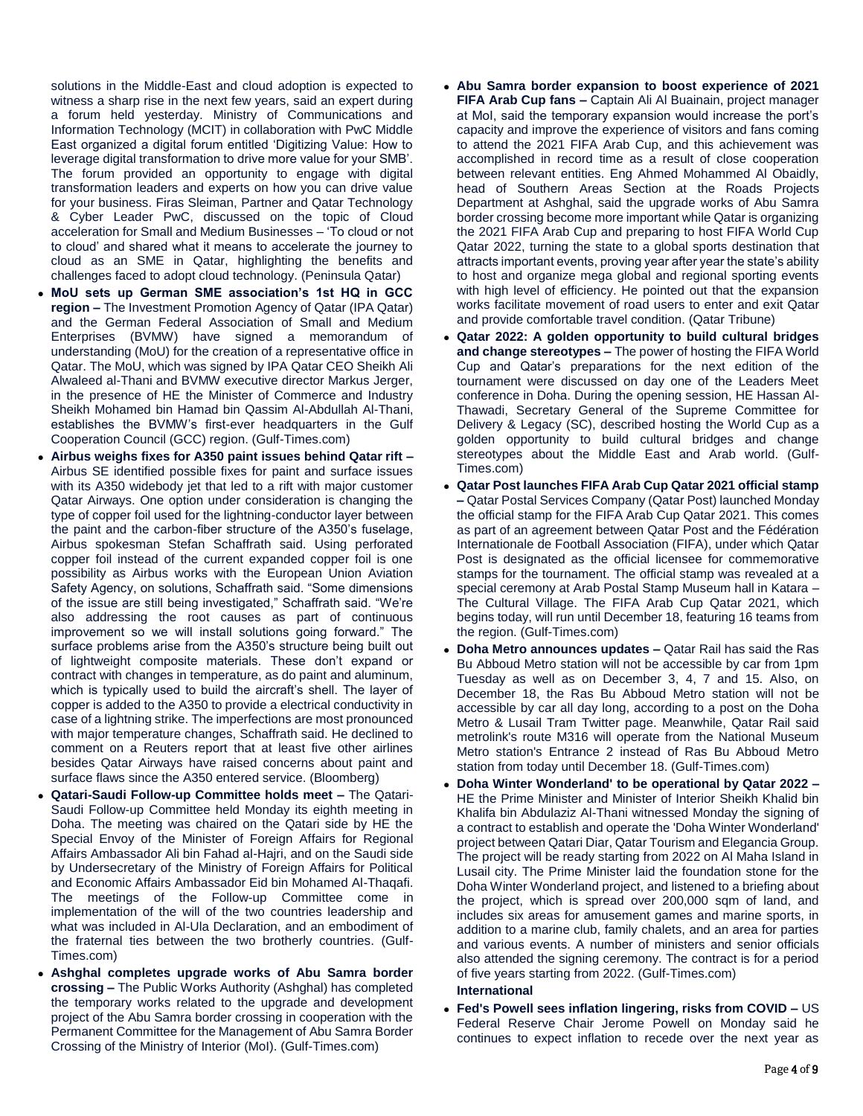solutions in the Middle-East and cloud adoption is expected to witness a sharp rise in the next few years, said an expert during a forum held yesterday. Ministry of Communications and Information Technology (MCIT) in collaboration with PwC Middle East organized a digital forum entitled 'Digitizing Value: How to leverage digital transformation to drive more value for your SMB'. The forum provided an opportunity to engage with digital transformation leaders and experts on how you can drive value for your business. Firas Sleiman, Partner and Qatar Technology & Cyber Leader PwC, discussed on the topic of Cloud acceleration for Small and Medium Businesses – 'To cloud or not to cloud' and shared what it means to accelerate the journey to cloud as an SME in Qatar, highlighting the benefits and challenges faced to adopt cloud technology. (Peninsula Qatar)

- **MoU sets up German SME association's 1st HQ in GCC region –** The Investment Promotion Agency of Qatar (IPA Qatar) and the German Federal Association of Small and Medium Enterprises (BVMW) have signed a memorandum of understanding (MoU) for the creation of a representative office in Qatar. The MoU, which was signed by IPA Qatar CEO Sheikh Ali Alwaleed al-Thani and BVMW executive director Markus Jerger, in the presence of HE the Minister of Commerce and Industry Sheikh Mohamed bin Hamad bin Qassim Al-Abdullah Al-Thani, establishes the BVMW's first-ever headquarters in the Gulf Cooperation Council (GCC) region. (Gulf-Times.com)
- **Airbus weighs fixes for A350 paint issues behind Qatar rift –** Airbus SE identified possible fixes for paint and surface issues with its A350 widebody jet that led to a rift with major customer Qatar Airways. One option under consideration is changing the type of copper foil used for the lightning-conductor layer between the paint and the carbon-fiber structure of the A350's fuselage, Airbus spokesman Stefan Schaffrath said. Using perforated copper foil instead of the current expanded copper foil is one possibility as Airbus works with the European Union Aviation Safety Agency, on solutions, Schaffrath said. "Some dimensions of the issue are still being investigated," Schaffrath said. "We're also addressing the root causes as part of continuous improvement so we will install solutions going forward." The surface problems arise from the A350's structure being built out of lightweight composite materials. These don't expand or contract with changes in temperature, as do paint and aluminum, which is typically used to build the aircraft's shell. The layer of copper is added to the A350 to provide a electrical conductivity in case of a lightning strike. The imperfections are most pronounced with major temperature changes, Schaffrath said. He declined to comment on a Reuters report that at least five other airlines besides Qatar Airways have raised concerns about paint and surface flaws since the A350 entered service. (Bloomberg)
- **Qatari-Saudi Follow-up Committee holds meet –** The Qatari-Saudi Follow-up Committee held Monday its eighth meeting in Doha. The meeting was chaired on the Qatari side by HE the Special Envoy of the Minister of Foreign Affairs for Regional Affairs Ambassador Ali bin Fahad al-Hajri, and on the Saudi side by Undersecretary of the Ministry of Foreign Affairs for Political and Economic Affairs Ambassador Eid bin Mohamed Al-Thaqafi. The meetings of the Follow-up Committee come in implementation of the will of the two countries leadership and what was included in Al-Ula Declaration, and an embodiment of the fraternal ties between the two brotherly countries. (Gulf-Times.com)
- **Ashghal completes upgrade works of Abu Samra border crossing –** The Public Works Authority (Ashghal) has completed the temporary works related to the upgrade and development project of the Abu Samra border crossing in cooperation with the Permanent Committee for the Management of Abu Samra Border Crossing of the Ministry of Interior (MoI). (Gulf-Times.com)
- **Abu Samra border expansion to boost experience of 2021 FIFA Arab Cup fans –** Captain Ali Al Buainain, project manager at MoI, said the temporary expansion would increase the port's capacity and improve the experience of visitors and fans coming to attend the 2021 FIFA Arab Cup, and this achievement was accomplished in record time as a result of close cooperation between relevant entities. Eng Ahmed Mohammed Al Obaidly, head of Southern Areas Section at the Roads Projects Department at Ashghal, said the upgrade works of Abu Samra border crossing become more important while Qatar is organizing the 2021 FIFA Arab Cup and preparing to host FIFA World Cup Qatar 2022, turning the state to a global sports destination that attracts important events, proving year after year the state's ability to host and organize mega global and regional sporting events with high level of efficiency. He pointed out that the expansion works facilitate movement of road users to enter and exit Qatar and provide comfortable travel condition. (Qatar Tribune)
- **Qatar 2022: A golden opportunity to build cultural bridges and change stereotypes –** The power of hosting the FIFA World Cup and Qatar's preparations for the next edition of the tournament were discussed on day one of the Leaders Meet conference in Doha. During the opening session, HE Hassan Al-Thawadi, Secretary General of the Supreme Committee for Delivery & Legacy (SC), described hosting the World Cup as a golden opportunity to build cultural bridges and change stereotypes about the Middle East and Arab world. (Gulf-Times.com)
- **Qatar Post launches FIFA Arab Cup Qatar 2021 official stamp –** Qatar Postal Services Company (Qatar Post) launched Monday the official stamp for the FIFA Arab Cup Qatar 2021. This comes as part of an agreement between Qatar Post and the Fédération Internationale de Football Association (FIFA), under which Qatar Post is designated as the official licensee for commemorative stamps for the tournament. The official stamp was revealed at a special ceremony at Arab Postal Stamp Museum hall in Katara – The Cultural Village. The FIFA Arab Cup Qatar 2021, which begins today, will run until December 18, featuring 16 teams from the region. (Gulf-Times.com)
- **Doha Metro announces updates –** Qatar Rail has said the Ras Bu Abboud Metro station will not be accessible by car from 1pm Tuesday as well as on December 3, 4, 7 and 15. Also, on December 18, the Ras Bu Abboud Metro station will not be accessible by car all day long, according to a post on the Doha Metro & Lusail Tram Twitter page. Meanwhile, Qatar Rail said metrolink's route M316 will operate from the National Museum Metro station's Entrance 2 instead of Ras Bu Abboud Metro station from today until December 18. (Gulf-Times.com)
- **Doha Winter Wonderland' to be operational by Qatar 2022 –** HE the Prime Minister and Minister of Interior Sheikh Khalid bin Khalifa bin Abdulaziz Al-Thani witnessed Monday the signing of a contract to establish and operate the 'Doha Winter Wonderland' project between Qatari Diar, Qatar Tourism and Elegancia Group. The project will be ready starting from 2022 on Al Maha Island in Lusail city. The Prime Minister laid the foundation stone for the Doha Winter Wonderland project, and listened to a briefing about the project, which is spread over 200,000 sqm of land, and includes six areas for amusement games and marine sports, in addition to a marine club, family chalets, and an area for parties and various events. A number of ministers and senior officials also attended the signing ceremony. The contract is for a period of five years starting from 2022. (Gulf-Times.com)

### **International**

 **Fed's Powell sees inflation lingering, risks from COVID –** US Federal Reserve Chair Jerome Powell on Monday said he continues to expect inflation to recede over the next year as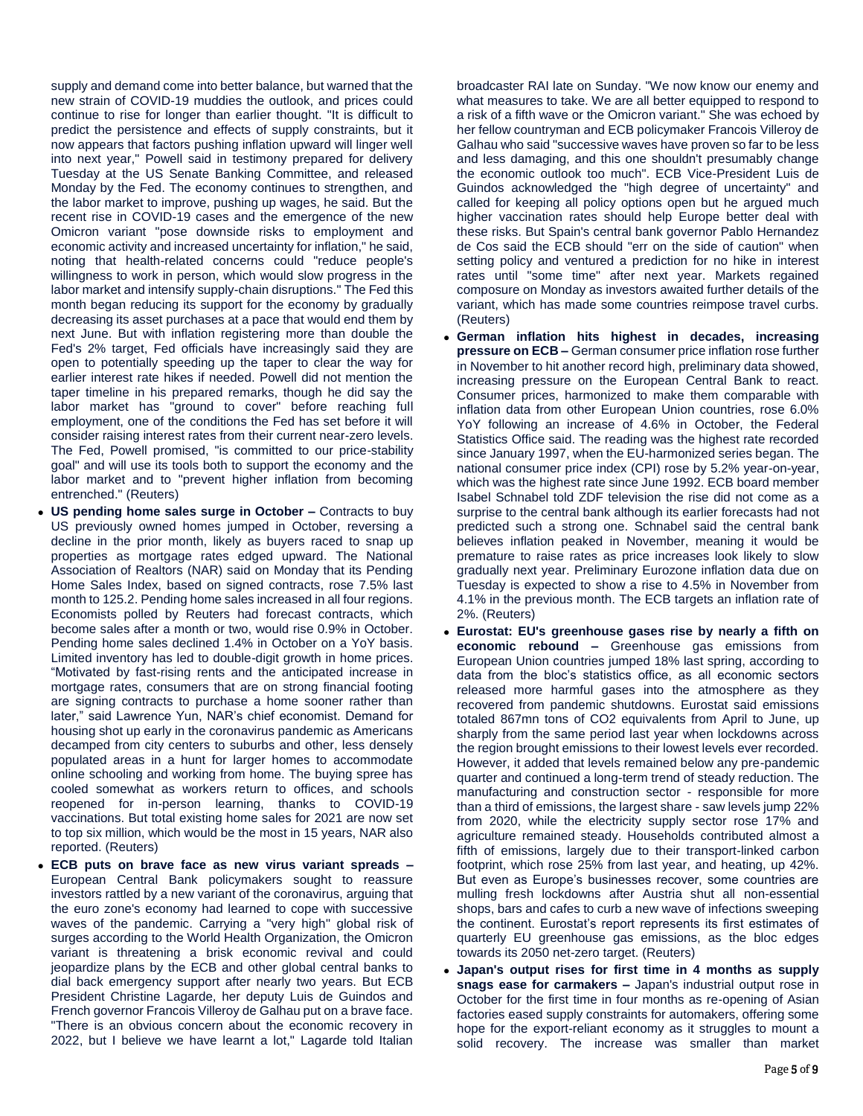supply and demand come into better balance, but warned that the new strain of COVID-19 muddies the outlook, and prices could continue to rise for longer than earlier thought. "It is difficult to predict the persistence and effects of supply constraints, but it now appears that factors pushing inflation upward will linger well into next year," Powell said in testimony prepared for delivery Tuesday at the US Senate Banking Committee, and released Monday by the Fed. The economy continues to strengthen, and the labor market to improve, pushing up wages, he said. But the recent rise in COVID-19 cases and the emergence of the new Omicron variant "pose downside risks to employment and economic activity and increased uncertainty for inflation," he said, noting that health-related concerns could "reduce people's willingness to work in person, which would slow progress in the labor market and intensify supply-chain disruptions." The Fed this month began reducing its support for the economy by gradually decreasing its asset purchases at a pace that would end them by next June. But with inflation registering more than double the Fed's 2% target, Fed officials have increasingly said they are open to potentially speeding up the taper to clear the way for earlier interest rate hikes if needed. Powell did not mention the taper timeline in his prepared remarks, though he did say the labor market has "ground to cover" before reaching full employment, one of the conditions the Fed has set before it will consider raising interest rates from their current near-zero levels. The Fed, Powell promised, "is committed to our price-stability goal" and will use its tools both to support the economy and the labor market and to "prevent higher inflation from becoming entrenched." (Reuters)

- **US pending home sales surge in October –** Contracts to buy US previously owned homes jumped in October, reversing a decline in the prior month, likely as buyers raced to snap up properties as mortgage rates edged upward. The National Association of Realtors (NAR) said on Monday that its Pending Home Sales Index, based on signed contracts, rose 7.5% last month to 125.2. Pending home sales increased in all four regions. Economists polled by Reuters had forecast contracts, which become sales after a month or two, would rise 0.9% in October. Pending home sales declined 1.4% in October on a YoY basis. Limited inventory has led to double-digit growth in home prices. "Motivated by fast-rising rents and the anticipated increase in mortgage rates, consumers that are on strong financial footing are signing contracts to purchase a home sooner rather than later," said Lawrence Yun, NAR's chief economist. Demand for housing shot up early in the coronavirus pandemic as Americans decamped from city centers to suburbs and other, less densely populated areas in a hunt for larger homes to accommodate online schooling and working from home. The buying spree has cooled somewhat as workers return to offices, and schools reopened for in-person learning, thanks to COVID-19 vaccinations. But total existing home sales for 2021 are now set to top six million, which would be the most in 15 years, NAR also reported. (Reuters)
- **ECB puts on brave face as new virus variant spreads –** European Central Bank policymakers sought to reassure investors rattled by a new variant of the coronavirus, arguing that the euro zone's economy had learned to cope with successive waves of the pandemic. Carrying a "very high" global risk of surges according to the World Health Organization, the Omicron variant is threatening a brisk economic revival and could jeopardize plans by the ECB and other global central banks to dial back emergency support after nearly two years. But ECB President Christine Lagarde, her deputy Luis de Guindos and French governor Francois Villeroy de Galhau put on a brave face. "There is an obvious concern about the economic recovery in 2022, but I believe we have learnt a lot," Lagarde told Italian

broadcaster RAI late on Sunday. "We now know our enemy and what measures to take. We are all better equipped to respond to a risk of a fifth wave or the Omicron variant." She was echoed by her fellow countryman and ECB policymaker Francois Villeroy de Galhau who said "successive waves have proven so far to be less and less damaging, and this one shouldn't presumably change the economic outlook too much". ECB Vice-President Luis de Guindos acknowledged the "high degree of uncertainty" and called for keeping all policy options open but he argued much higher vaccination rates should help Europe better deal with these risks. But Spain's central bank governor Pablo Hernandez de Cos said the ECB should "err on the side of caution" when setting policy and ventured a prediction for no hike in interest rates until "some time" after next year. Markets regained composure on Monday as investors awaited further details of the variant, which has made some countries reimpose travel curbs. (Reuters)

- **German inflation hits highest in decades, increasing pressure on ECB –** German consumer price inflation rose further in November to hit another record high, preliminary data showed, increasing pressure on the European Central Bank to react. Consumer prices, harmonized to make them comparable with inflation data from other European Union countries, rose 6.0% YoY following an increase of 4.6% in October, the Federal Statistics Office said. The reading was the highest rate recorded since January 1997, when the EU-harmonized series began. The national consumer price index (CPI) rose by 5.2% year-on-year, which was the highest rate since June 1992. ECB board member Isabel Schnabel told ZDF television the rise did not come as a surprise to the central bank although its earlier forecasts had not predicted such a strong one. Schnabel said the central bank believes inflation peaked in November, meaning it would be premature to raise rates as price increases look likely to slow gradually next year. Preliminary Eurozone inflation data due on Tuesday is expected to show a rise to 4.5% in November from 4.1% in the previous month. The ECB targets an inflation rate of 2%. (Reuters)
- **Eurostat: EU's greenhouse gases rise by nearly a fifth on economic rebound –** Greenhouse gas emissions from European Union countries jumped 18% last spring, according to data from the bloc's statistics office, as all economic sectors released more harmful gases into the atmosphere as they recovered from pandemic shutdowns. Eurostat said emissions totaled 867mn tons of CO2 equivalents from April to June, up sharply from the same period last year when lockdowns across the region brought emissions to their lowest levels ever recorded. However, it added that levels remained below any pre-pandemic quarter and continued a long-term trend of steady reduction. The manufacturing and construction sector - responsible for more than a third of emissions, the largest share - saw levels jump 22% from 2020, while the electricity supply sector rose 17% and agriculture remained steady. Households contributed almost a fifth of emissions, largely due to their transport-linked carbon footprint, which rose 25% from last year, and heating, up 42%. But even as Europe's businesses recover, some countries are mulling fresh lockdowns after Austria shut all non-essential shops, bars and cafes to curb a new wave of infections sweeping the continent. Eurostat's report represents its first estimates of quarterly EU greenhouse gas emissions, as the bloc edges towards its 2050 net-zero target. (Reuters)
- **Japan's output rises for first time in 4 months as supply snags ease for carmakers –** Japan's industrial output rose in October for the first time in four months as re-opening of Asian factories eased supply constraints for automakers, offering some hope for the export-reliant economy as it struggles to mount a solid recovery. The increase was smaller than market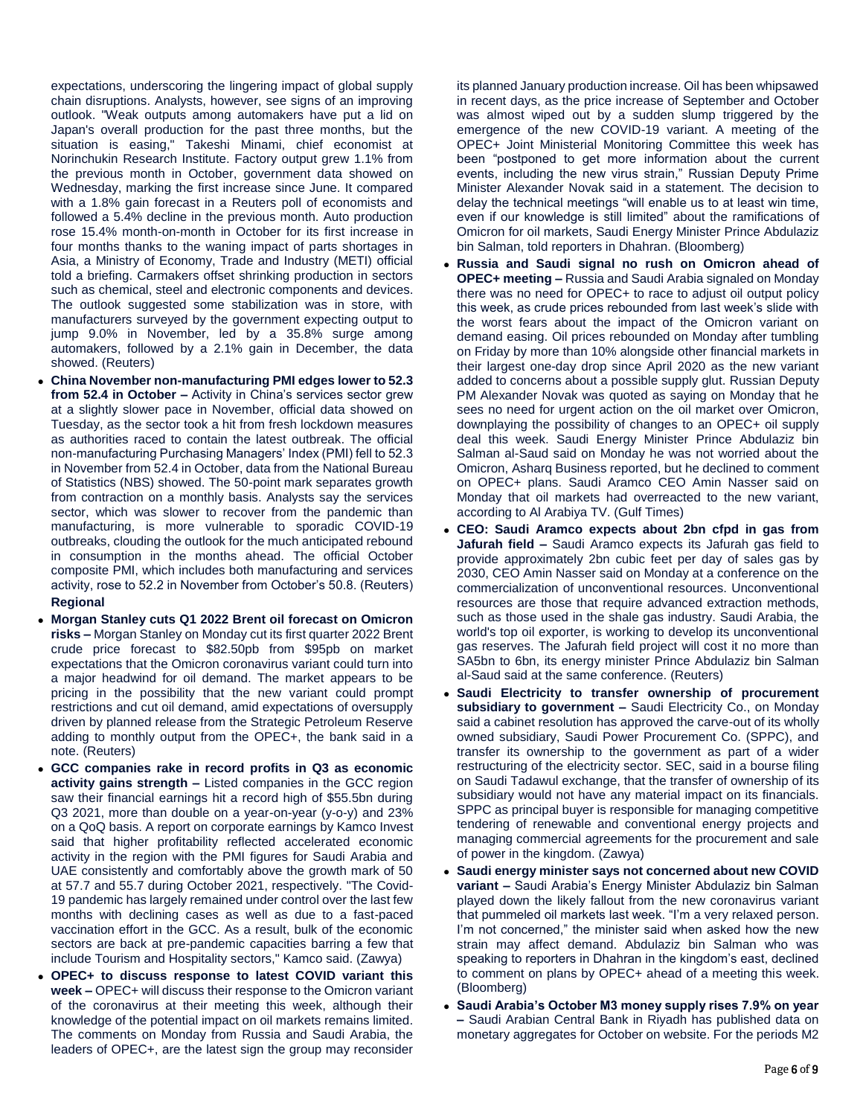expectations, underscoring the lingering impact of global supply chain disruptions. Analysts, however, see signs of an improving outlook. "Weak outputs among automakers have put a lid on Japan's overall production for the past three months, but the situation is easing," Takeshi Minami, chief economist at Norinchukin Research Institute. Factory output grew 1.1% from the previous month in October, government data showed on Wednesday, marking the first increase since June. It compared with a 1.8% gain forecast in a Reuters poll of economists and followed a 5.4% decline in the previous month. Auto production rose 15.4% month-on-month in October for its first increase in four months thanks to the waning impact of parts shortages in Asia, a Ministry of Economy, Trade and Industry (METI) official told a briefing. Carmakers offset shrinking production in sectors such as chemical, steel and electronic components and devices. The outlook suggested some stabilization was in store, with manufacturers surveyed by the government expecting output to jump 9.0% in November, led by a 35.8% surge among automakers, followed by a 2.1% gain in December, the data showed. (Reuters)

- **China November non-manufacturing PMI edges lower to 52.3 from 52.4 in October –** Activity in China's services sector grew at a slightly slower pace in November, official data showed on Tuesday, as the sector took a hit from fresh lockdown measures as authorities raced to contain the latest outbreak. The official non-manufacturing Purchasing Managers' Index (PMI) fell to 52.3 in November from 52.4 in October, data from the National Bureau of Statistics (NBS) showed. The 50-point mark separates growth from contraction on a monthly basis. Analysts say the services sector, which was slower to recover from the pandemic than manufacturing, is more vulnerable to sporadic COVID-19 outbreaks, clouding the outlook for the much anticipated rebound in consumption in the months ahead. The official October composite PMI, which includes both manufacturing and services activity, rose to 52.2 in November from October's 50.8. (Reuters) **Regional**
- **Morgan Stanley cuts Q1 2022 Brent oil forecast on Omicron risks –** Morgan Stanley on Monday cut its first quarter 2022 Brent crude price forecast to \$82.50pb from \$95pb on market expectations that the Omicron coronavirus variant could turn into a major headwind for oil demand. The market appears to be pricing in the possibility that the new variant could prompt restrictions and cut oil demand, amid expectations of oversupply driven by planned release from the Strategic Petroleum Reserve adding to monthly output from the OPEC+, the bank said in a note. (Reuters)
- **GCC companies rake in record profits in Q3 as economic activity gains strength –** Listed companies in the GCC region saw their financial earnings hit a record high of \$55.5bn during Q3 2021, more than double on a year-on-year (y-o-y) and 23% on a QoQ basis. A report on corporate earnings by Kamco Invest said that higher profitability reflected accelerated economic activity in the region with the PMI figures for Saudi Arabia and UAE consistently and comfortably above the growth mark of 50 at 57.7 and 55.7 during October 2021, respectively. "The Covid-19 pandemic has largely remained under control over the last few months with declining cases as well as due to a fast-paced vaccination effort in the GCC. As a result, bulk of the economic sectors are back at pre-pandemic capacities barring a few that include Tourism and Hospitality sectors," Kamco said. (Zawya)
- **OPEC+ to discuss response to latest COVID variant this week –** OPEC+ will discuss their response to the Omicron variant of the coronavirus at their meeting this week, although their knowledge of the potential impact on oil markets remains limited. The comments on Monday from Russia and Saudi Arabia, the leaders of OPEC+, are the latest sign the group may reconsider

its planned January production increase. Oil has been whipsawed in recent days, as the price increase of September and October was almost wiped out by a sudden slump triggered by the emergence of the new COVID-19 variant. A meeting of the OPEC+ Joint Ministerial Monitoring Committee this week has been "postponed to get more information about the current events, including the new virus strain," Russian Deputy Prime Minister Alexander Novak said in a statement. The decision to delay the technical meetings "will enable us to at least win time, even if our knowledge is still limited" about the ramifications of Omicron for oil markets, Saudi Energy Minister Prince Abdulaziz bin Salman, told reporters in Dhahran. (Bloomberg)

- **Russia and Saudi signal no rush on Omicron ahead of OPEC+ meeting –** Russia and Saudi Arabia signaled on Monday there was no need for OPEC+ to race to adjust oil output policy this week, as crude prices rebounded from last week's slide with the worst fears about the impact of the Omicron variant on demand easing. Oil prices rebounded on Monday after tumbling on Friday by more than 10% alongside other financial markets in their largest one-day drop since April 2020 as the new variant added to concerns about a possible supply glut. Russian Deputy PM Alexander Novak was quoted as saying on Monday that he sees no need for urgent action on the oil market over Omicron, downplaying the possibility of changes to an OPEC+ oil supply deal this week. Saudi Energy Minister Prince Abdulaziz bin Salman al-Saud said on Monday he was not worried about the Omicron, Asharq Business reported, but he declined to comment on OPEC+ plans. Saudi Aramco CEO Amin Nasser said on Monday that oil markets had overreacted to the new variant, according to Al Arabiya TV. (Gulf Times)
- **CEO: Saudi Aramco expects about 2bn cfpd in gas from Jafurah field –** Saudi Aramco expects its Jafurah gas field to provide approximately 2bn cubic feet per day of sales gas by 2030, CEO Amin Nasser said on Monday at a conference on the commercialization of unconventional resources. Unconventional resources are those that require advanced extraction methods, such as those used in the shale gas industry. Saudi Arabia, the world's top oil exporter, is working to develop its unconventional gas reserves. The Jafurah field project will cost it no more than SA5bn to 6bn, its energy minister Prince Abdulaziz bin Salman al-Saud said at the same conference. (Reuters)
- **Saudi Electricity to transfer ownership of procurement subsidiary to government –** Saudi Electricity Co., on Monday said a cabinet resolution has approved the carve-out of its wholly owned subsidiary, Saudi Power Procurement Co. (SPPC), and transfer its ownership to the government as part of a wider restructuring of the electricity sector. SEC, said in a bourse filing on Saudi Tadawul exchange, that the transfer of ownership of its subsidiary would not have any material impact on its financials. SPPC as principal buyer is responsible for managing competitive tendering of renewable and conventional energy projects and managing commercial agreements for the procurement and sale of power in the kingdom. (Zawya)
- **Saudi energy minister says not concerned about new COVID variant –** Saudi Arabia's Energy Minister Abdulaziz bin Salman played down the likely fallout from the new coronavirus variant that pummeled oil markets last week. "I'm a very relaxed person. I'm not concerned," the minister said when asked how the new strain may affect demand. Abdulaziz bin Salman who was speaking to reporters in Dhahran in the kingdom's east, declined to comment on plans by OPEC+ ahead of a meeting this week. (Bloomberg)
- **Saudi Arabia's October M3 money supply rises 7.9% on year –** Saudi Arabian Central Bank in Riyadh has published data on monetary aggregates for October on website. For the periods M2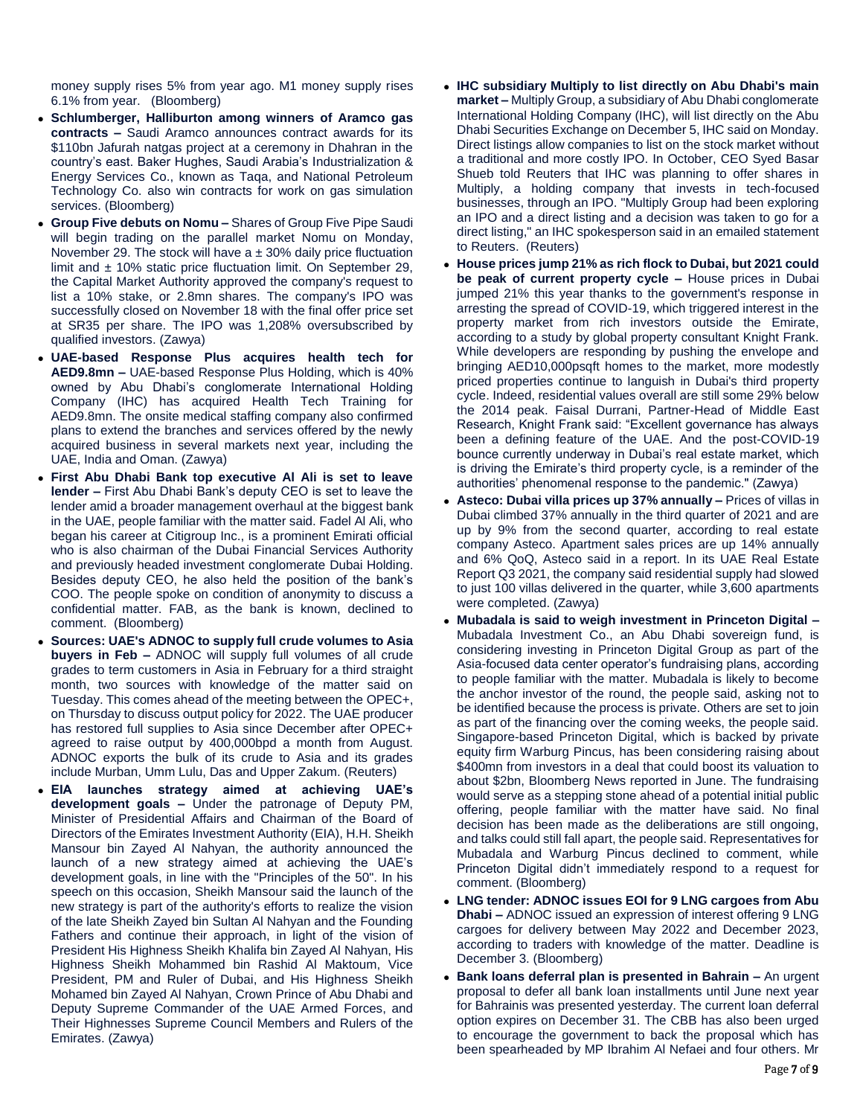money supply rises 5% from year ago. M1 money supply rises 6.1% from year. (Bloomberg)

- **Schlumberger, Halliburton among winners of Aramco gas contracts –** Saudi Aramco announces contract awards for its \$110bn Jafurah natgas project at a ceremony in Dhahran in the country's east. Baker Hughes, Saudi Arabia's Industrialization & Energy Services Co., known as Taqa, and National Petroleum Technology Co. also win contracts for work on gas simulation services. (Bloomberg)
- **Group Five debuts on Nomu –** Shares of Group Five Pipe Saudi will begin trading on the parallel market Nomu on Monday, November 29. The stock will have  $a \pm 30\%$  daily price fluctuation limit and  $\pm$  10% static price fluctuation limit. On September 29, the Capital Market Authority approved the company's request to list a 10% stake, or 2.8mn shares. The company's IPO was successfully closed on November 18 with the final offer price set at SR35 per share. The IPO was 1,208% oversubscribed by qualified investors. (Zawya)
- **UAE-based Response Plus acquires health tech for AED9.8mn –** UAE-based Response Plus Holding, which is 40% owned by Abu Dhabi's conglomerate International Holding Company (IHC) has acquired Health Tech Training for AED9.8mn. The onsite medical staffing company also confirmed plans to extend the branches and services offered by the newly acquired business in several markets next year, including the UAE, India and Oman. (Zawya)
- **First Abu Dhabi Bank top executive Al Ali is set to leave lender –** First Abu Dhabi Bank's deputy CEO is set to leave the lender amid a broader management overhaul at the biggest bank in the UAE, people familiar with the matter said. Fadel Al Ali, who began his career at Citigroup Inc., is a prominent Emirati official who is also chairman of the Dubai Financial Services Authority and previously headed investment conglomerate Dubai Holding. Besides deputy CEO, he also held the position of the bank's COO. The people spoke on condition of anonymity to discuss a confidential matter. FAB, as the bank is known, declined to comment. (Bloomberg)
- **Sources: UAE's ADNOC to supply full crude volumes to Asia buyers in Feb –** ADNOC will supply full volumes of all crude grades to term customers in Asia in February for a third straight month, two sources with knowledge of the matter said on Tuesday. This comes ahead of the meeting between the OPEC+, on Thursday to discuss output policy for 2022. The UAE producer has restored full supplies to Asia since December after OPEC+ agreed to raise output by 400,000bpd a month from August. ADNOC exports the bulk of its crude to Asia and its grades include Murban, Umm Lulu, Das and Upper Zakum. (Reuters)
- **EIA launches strategy aimed at achieving UAE's development goals –** Under the patronage of Deputy PM, Minister of Presidential Affairs and Chairman of the Board of Directors of the Emirates Investment Authority (EIA), H.H. Sheikh Mansour bin Zayed Al Nahyan, the authority announced the launch of a new strategy aimed at achieving the UAE's development goals, in line with the "Principles of the 50". In his speech on this occasion, Sheikh Mansour said the launch of the new strategy is part of the authority's efforts to realize the vision of the late Sheikh Zayed bin Sultan Al Nahyan and the Founding Fathers and continue their approach, in light of the vision of President His Highness Sheikh Khalifa bin Zayed Al Nahyan, His Highness Sheikh Mohammed bin Rashid Al Maktoum, Vice President, PM and Ruler of Dubai, and His Highness Sheikh Mohamed bin Zayed Al Nahyan, Crown Prince of Abu Dhabi and Deputy Supreme Commander of the UAE Armed Forces, and Their Highnesses Supreme Council Members and Rulers of the Emirates. (Zawya)
- **IHC subsidiary Multiply to list directly on Abu Dhabi's main market –** Multiply Group, a subsidiary of Abu Dhabi conglomerate International Holding Company (IHC), will list directly on the Abu Dhabi Securities Exchange on December 5, IHC said on Monday. Direct listings allow companies to list on the stock market without a traditional and more costly IPO. In October, CEO Syed Basar Shueb told Reuters that IHC was planning to offer shares in Multiply, a holding company that invests in tech-focused businesses, through an IPO. "Multiply Group had been exploring an IPO and a direct listing and a decision was taken to go for a direct listing," an IHC spokesperson said in an emailed statement to Reuters. (Reuters)
- **House prices jump 21% as rich flock to Dubai, but 2021 could be peak of current property cycle –** House prices in Dubai jumped 21% this year thanks to the government's response in arresting the spread of COVID-19, which triggered interest in the property market from rich investors outside the Emirate, according to a study by global property consultant Knight Frank. While developers are responding by pushing the envelope and bringing AED10,000psqft homes to the market, more modestly priced properties continue to languish in Dubai's third property cycle. Indeed, residential values overall are still some 29% below the 2014 peak. Faisal Durrani, Partner-Head of Middle East Research, Knight Frank said: "Excellent governance has always been a defining feature of the UAE. And the post-COVID-19 bounce currently underway in Dubai's real estate market, which is driving the Emirate's third property cycle, is a reminder of the authorities' phenomenal response to the pandemic." (Zawya)
- **Asteco: Dubai villa prices up 37% annually –** Prices of villas in Dubai climbed 37% annually in the third quarter of 2021 and are up by 9% from the second quarter, according to real estate company Asteco. Apartment sales prices are up 14% annually and 6% QoQ, Asteco said in a report. In its UAE Real Estate Report Q3 2021, the company said residential supply had slowed to just 100 villas delivered in the quarter, while 3,600 apartments were completed. (Zawya)
- **Mubadala is said to weigh investment in Princeton Digital –** Mubadala Investment Co., an Abu Dhabi sovereign fund, is considering investing in Princeton Digital Group as part of the Asia-focused data center operator's fundraising plans, according to people familiar with the matter. Mubadala is likely to become the anchor investor of the round, the people said, asking not to be identified because the process is private. Others are set to join as part of the financing over the coming weeks, the people said. Singapore-based Princeton Digital, which is backed by private equity firm Warburg Pincus, has been considering raising about \$400mn from investors in a deal that could boost its valuation to about \$2bn, Bloomberg News reported in June. The fundraising would serve as a stepping stone ahead of a potential initial public offering, people familiar with the matter have said. No final decision has been made as the deliberations are still ongoing, and talks could still fall apart, the people said. Representatives for Mubadala and Warburg Pincus declined to comment, while Princeton Digital didn't immediately respond to a request for comment. (Bloomberg)
- **LNG tender: ADNOC issues EOI for 9 LNG cargoes from Abu Dhabi –** ADNOC issued an expression of interest offering 9 LNG cargoes for delivery between May 2022 and December 2023, according to traders with knowledge of the matter. Deadline is December 3. (Bloomberg)
- **Bank loans deferral plan is presented in Bahrain –** An urgent proposal to defer all bank loan installments until June next year for Bahrainis was presented yesterday. The current loan deferral option expires on December 31. The CBB has also been urged to encourage the government to back the proposal which has been spearheaded by MP Ibrahim Al Nefaei and four others. Mr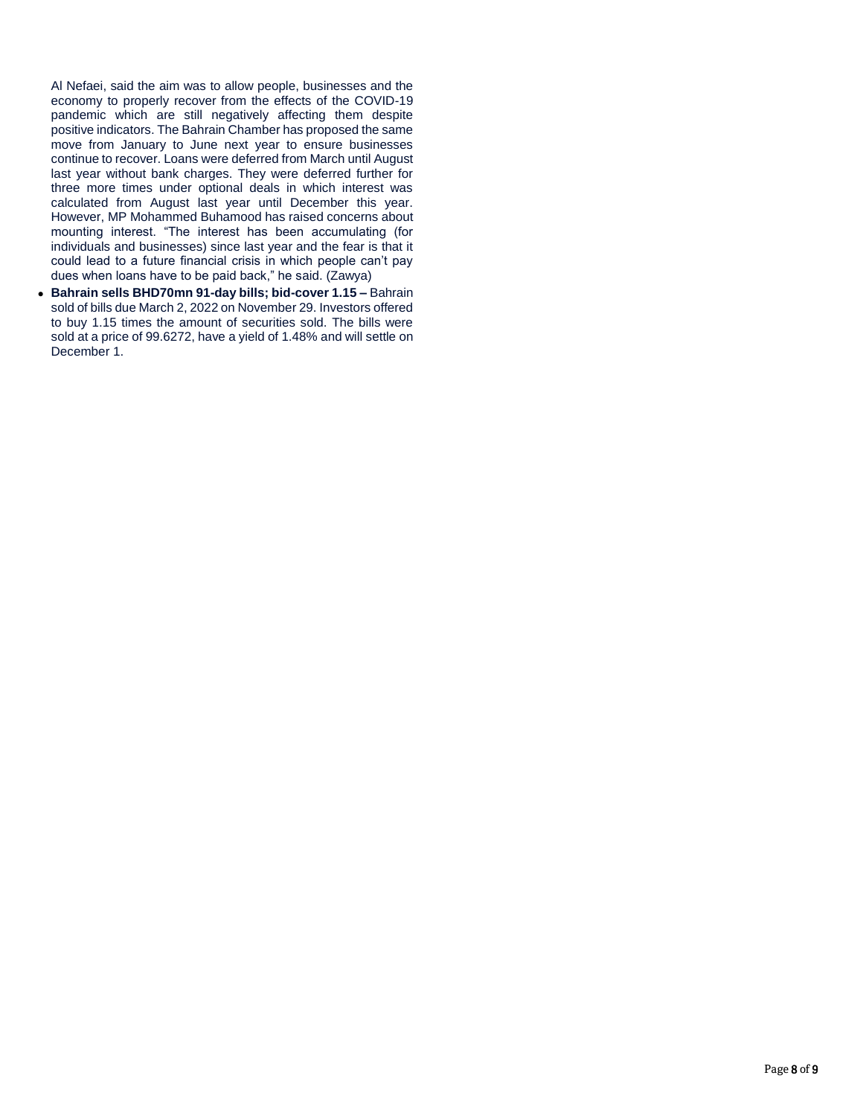Al Nefaei, said the aim was to allow people, businesses and the economy to properly recover from the effects of the COVID-19 pandemic which are still negatively affecting them despite positive indicators. The Bahrain Chamber has proposed the same move from January to June next year to ensure businesses continue to recover. Loans were deferred from March until August last year without bank charges. They were deferred further for three more times under optional deals in which interest was calculated from August last year until December this year. However, MP Mohammed Buhamood has raised concerns about mounting interest. "The interest has been accumulating (for individuals and businesses) since last year and the fear is that it could lead to a future financial crisis in which people can't pay dues when loans have to be paid back," he said. (Zawya)

 **Bahrain sells BHD70mn 91-day bills; bid-cover 1.15 –** Bahrain sold of bills due March 2, 2022 on November 29. Investors offered to buy 1.15 times the amount of securities sold. The bills were sold at a price of 99.6272, have a yield of 1.48% and will settle on December 1.